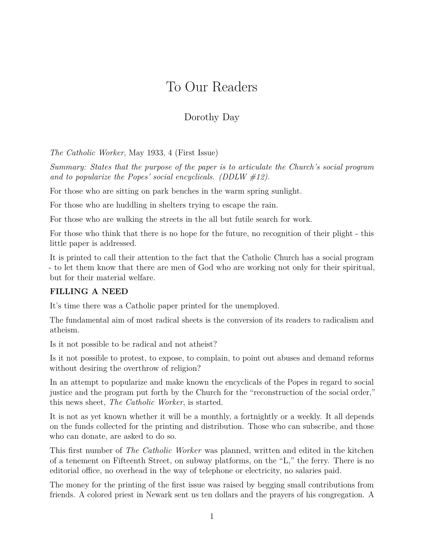## To Our Readers

## Dorothy Day

*The Catholic Worker*, May 1933, 4 (First Issue)

*Summary: States that the purpose of the paper is to articulate the Church's social program and to popularize the Popes' social encyclicals. (DDLW #12).*

For those who are sitting on park benches in the warm spring sunlight.

For those who are huddling in shelters trying to escape the rain.

For those who are walking the streets in the all but futile search for work.

For those who think that there is no hope for the future, no recognition of their plight - this little paper is addressed.

It is printed to call their attention to the fact that the Catholic Church has a social program - to let them know that there are men of God who are working not only for their spiritual, but for their material welfare.

## **FILLING A NEED**

It's time there was a Catholic paper printed for the unemployed.

The fundamental aim of most radical sheets is the conversion of its readers to radicalism and atheism.

Is it not possible to be radical and not atheist?

Is it not possible to protest, to expose, to complain, to point out abuses and demand reforms without desiring the overthrow of religion?

In an attempt to popularize and make known the encyclicals of the Popes in regard to social justice and the program put forth by the Church for the "reconstruction of the social order," this news sheet, *The Catholic Worker*, is started.

It is not as yet known whether it will be a monthly, a fortnightly or a weekly. It all depends on the funds collected for the printing and distribution. Those who can subscribe, and those who can donate, are asked to do so.

This first number of *The Catholic Worker* was planned, written and edited in the kitchen of a tenement on Fifteenth Street, on subway platforms, on the "L," the ferry. There is no editorial office, no overhead in the way of telephone or electricity, no salaries paid.

The money for the printing of the first issue was raised by begging small contributions from friends. A colored priest in Newark sent us ten dollars and the prayers of his congregation. A